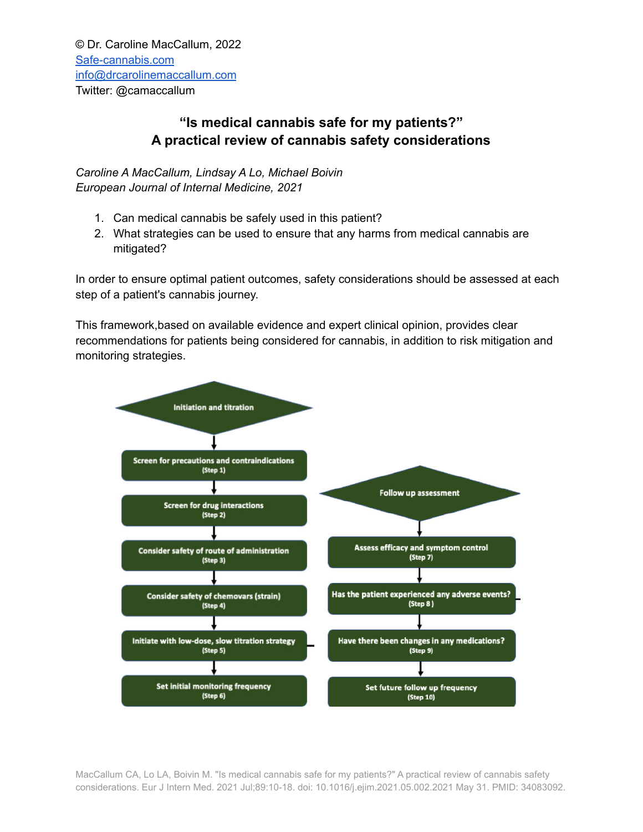## **"Is medical cannabis safe for my patients?" A practical review of cannabis safety considerations**

*Caroline A MacCallum, Lindsay A Lo, Michael Boivin European Journal of Internal Medicine, 2021*

- 1. Can medical cannabis be safely used in this patient?
- 2. What strategies can be used to ensure that any harms from medical cannabis are mitigated?

In order to ensure optimal patient outcomes, safety considerations should be assessed at each step of a patient's cannabis journey.

This framework,based on available evidence and expert clinical opinion, provides clear recommendations for patients being considered for cannabis, in addition to risk mitigation and monitoring strategies.



MacCallum CA, Lo LA, Boivin M. "Is medical cannabis safe for my patients?" A practical review of cannabis safety considerations. Eur J Intern Med. 2021 Jul;89:10-18. doi: 10.1016/j.ejim.2021.05.002.2021 May 31. PMID: 34083092.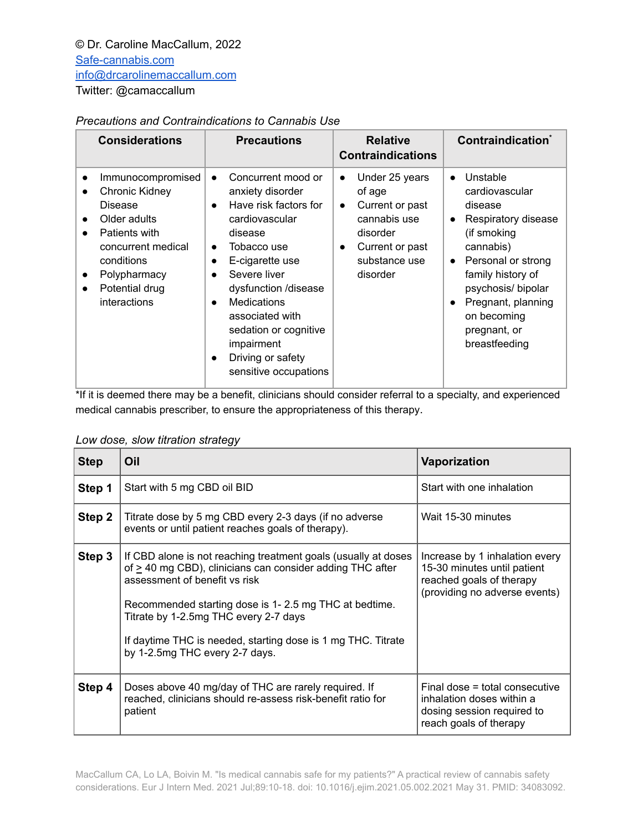## *Precautions and Contraindications to Cannabis Use*

| <b>Considerations</b>                                                                                                                                                                                                                               | <b>Precautions</b>                                                                                                                                                                                                                                                                                                                                                                              | <b>Relative</b><br><b>Contraindications</b>                                                                                                                    | Contraindication <sup>®</sup>                                                                                                                                                                                                                                                      |
|-----------------------------------------------------------------------------------------------------------------------------------------------------------------------------------------------------------------------------------------------------|-------------------------------------------------------------------------------------------------------------------------------------------------------------------------------------------------------------------------------------------------------------------------------------------------------------------------------------------------------------------------------------------------|----------------------------------------------------------------------------------------------------------------------------------------------------------------|------------------------------------------------------------------------------------------------------------------------------------------------------------------------------------------------------------------------------------------------------------------------------------|
| Immunocompromised<br>$\bullet$<br>Chronic Kidney<br>$\bullet$<br>Disease<br>Older adults<br>$\bullet$<br>Patients with<br>$\bullet$<br>concurrent medical<br>conditions<br>Polypharmacy<br>$\bullet$<br>Potential drug<br>$\bullet$<br>interactions | Concurrent mood or<br>$\bullet$<br>anxiety disorder<br>Have risk factors for<br>$\bullet$<br>cardiovascular<br>disease<br>Tobacco use<br>$\bullet$<br>E-cigarette use<br>$\bullet$<br>Severe liver<br>$\bullet$<br>dysfunction /disease<br><b>Medications</b><br>$\bullet$<br>associated with<br>sedation or cognitive<br>impairment<br>Driving or safety<br>$\bullet$<br>sensitive occupations | Under 25 years<br>$\bullet$<br>of age<br>Current or past<br>$\bullet$<br>cannabis use<br>disorder<br>Current or past<br>$\bullet$<br>substance use<br>disorder | Unstable<br>$\bullet$<br>cardiovascular<br>disease<br>Respiratory disease<br>$\bullet$<br>(if smoking<br>cannabis)<br>Personal or strong<br>$\bullet$<br>family history of<br>psychosis/bipolar<br>Pregnant, planning<br>$\bullet$<br>on becoming<br>pregnant, or<br>breastfeeding |

\*If it is deemed there may be a benefit, clinicians should consider referral to a specialty, and experienced medical cannabis prescriber, to ensure the appropriateness of this therapy.

| Low dose, slow titration strategy |  |  |  |  |
|-----------------------------------|--|--|--|--|
|-----------------------------------|--|--|--|--|

| <b>Step</b> | Oil                                                                                                                                                                                                                                                                                                                                                                   | <b>Vaporization</b>                                                                                                        |
|-------------|-----------------------------------------------------------------------------------------------------------------------------------------------------------------------------------------------------------------------------------------------------------------------------------------------------------------------------------------------------------------------|----------------------------------------------------------------------------------------------------------------------------|
| Step 1      | Start with 5 mg CBD oil BID                                                                                                                                                                                                                                                                                                                                           | Start with one inhalation                                                                                                  |
| Step 2      | Titrate dose by 5 mg CBD every 2-3 days (if no adverse<br>events or until patient reaches goals of therapy).                                                                                                                                                                                                                                                          | Wait 15-30 minutes                                                                                                         |
| Step 3      | If CBD alone is not reaching treatment goals (usually at doses<br>of $\geq$ 40 mg CBD), clinicians can consider adding THC after<br>assessment of benefit vs risk<br>Recommended starting dose is 1-2.5 mg THC at bedtime.<br>Titrate by 1-2.5mg THC every 2-7 days<br>If daytime THC is needed, starting dose is 1 mg THC. Titrate<br>by 1-2.5mg THC every 2-7 days. | Increase by 1 inhalation every<br>15-30 minutes until patient<br>reached goals of therapy<br>(providing no adverse events) |
| Step 4      | Doses above 40 mg/day of THC are rarely required. If<br>reached, clinicians should re-assess risk-benefit ratio for<br>patient                                                                                                                                                                                                                                        | Final dose = total consecutive<br>inhalation doses within a<br>dosing session required to<br>reach goals of therapy        |